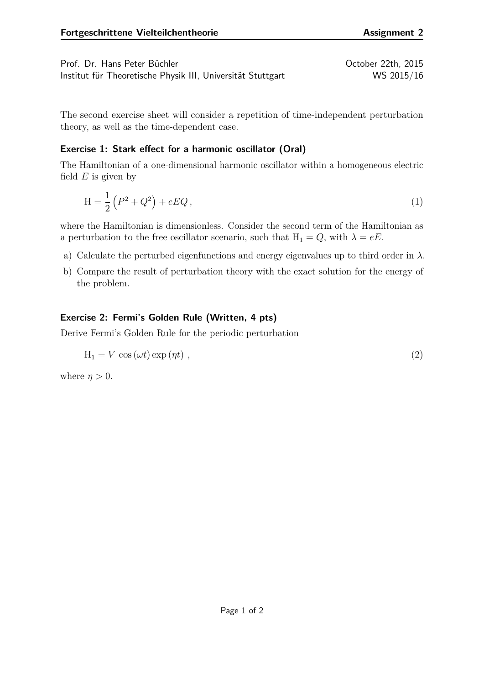Prof. Dr. Hans Peter Büchler Christian Australian Corp. 22th, 2015 Institut für Theoretische Physik III, Universität Stuttgart WS 2015/16

The second exercise sheet will consider a repetition of time-independent perturbation theory, as well as the time-dependent case.

## **Exercise 1: Stark effect for a harmonic oscillator (Oral)**

The Hamiltonian of a one-dimensional harmonic oscillator within a homogeneous electric field *E* is given by

$$
H = \frac{1}{2} (P^2 + Q^2) + eEQ,
$$
\n(1)

where the Hamiltonian is dimensionless. Consider the second term of the Hamiltonian as a perturbation to the free oscillator scenario, such that  $H_1 = Q$ , with  $\lambda = eE$ .

- a) Calculate the perturbed eigenfunctions and energy eigenvalues up to third order in *λ*.
- b) Compare the result of perturbation theory with the exact solution for the energy of the problem.

## **Exercise 2: Fermi's Golden Rule (Written, 4 pts)**

Derive Fermi's Golden Rule for the periodic perturbation

$$
H_1 = V \cos(\omega t) \exp(\eta t) , \qquad (2)
$$

where  $\eta > 0$ .